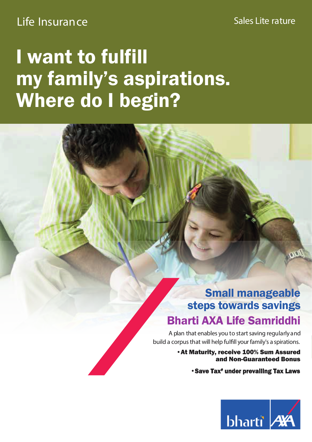### Life Insurance Sales Lite rature

## I want to fulfill my family's aspirations. Where do I begin?

### Small manageable steps towards savings Bharti AXA Life Samriddhi

A plan that enables you to start saving regularly and build a corpus that will help fulfill your family's a spirations.

> •At Maturity, receive 100% Sum Assured and Non-Guaranteed Bonus

> > •Save Tax# under prevailing Tax Laws

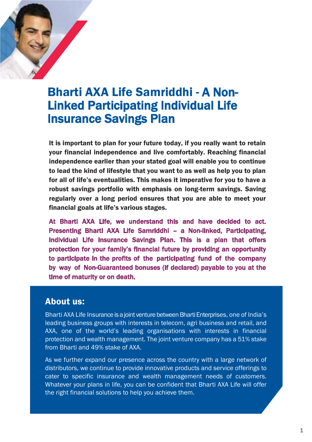

### **Bharti AXA Life Samriddhi - A Non-Linked Participating Individual Life Insurance Savings Plan**

It is important to plan for your future today, if you really want to retain your financial independence and live comfortably. Reaching financial independence earlier than your stated goal will enable you to continue to lead the kind of lifestyle that you want to as well as help you to plan for all of life's eventualities. This makes it imperative for you to have a robust savings portfolio with emphasis on long-term savings. Saving regularly over a long period ensures that you are able to meet your financial goals at life's various stages.

At Bharti AXA Life, we understand this and have decided to act. Presenting Bharti AXA Life Samriddhi - a Non-linked, Participating, Individual Life Insurance Savings Plan. This is a plan that offers protection for your family's financial future by providing an opportunity to participate in the profits of the participating fund of the company by way of Non-Guaranteed bonuses (if declared) payable to you at the time of maturity or on death.

#### **About us:**

Bharti AXA Life Insurance is a joint venture between Bharti Enterprises, one of India's leading business groups with interests in telecom, agri business and retail, and AXA, one of the world's leading organisations with interests in financial protection and wealth management. The joint venture company has a 51% stake from Bharti and 49% stake of AXA.

As we further expand our presence across the country with a large network of distributors, we continue to provide innovative products and service offerings to cater to specific insurance and wealth management needs of customers. Whatever your plans in life, you can be confident that Bharti AXA Life will offer the right financial solutions to help you achieve them.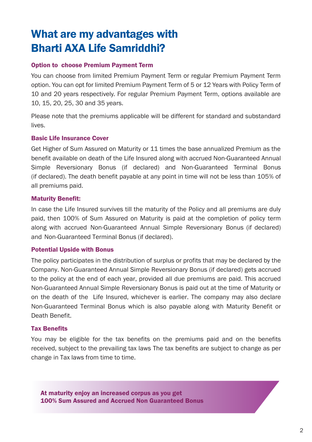### What are my advantages with Bharti AXA Life Samriddhi?

#### Option to choose Premium Payment Term

You can choose from limited Premium Payment Term or regular Premium Payment Term option, You can opt for limited Premium Payment Term of 5 or 12 Years with Policy Term of 10 and 20 years respectively. For regular Premium Payment Term, options available are 10, 15, 20, 25, 30 and 35 years.

Please note that the premiums applicable will be different for standard and substandard lives.

#### Basic Life Insurance Cover

Get Higher of Sum Assured on Maturity or 11 times the base annualized Premium as the benefit available on death of the Life Insured along with accrued Non-Guaranteed Annual Simple Reversionary Bonus (if declared) and Non-Guaranteed Terminal Bonus (if declared). The death benefit payable at any point in time will not be less than 105% of all premiums paid.

#### Maturity Benefit:

In case the Life Insured survives till the maturity of the Policy and all premiums are duly paid, then 100% of Sum Assured on Maturity is paid at the completion of policy term along with accrued Non-Guaranteed Annual Simple Reversionary Bonus (if declared) and Non-Guaranteed Terminal Bonus (if declared).

#### Potential Upside with Bonus

The policy participates in the distribution of surplus or profits that may be declared by the Company. Non-Guaranteed Annual Simple Reversionary Bonus (if declared) gets accrued to the policy at the end of each year, provided all due premiums are paid. This accrued Non-Guaranteed Annual Simple Reversionary Bonus is paid out at the time of Maturity or on the death of the Life Insured, whichever is earlier. The company may also declare Non-Guaranteed Terminal Bonus which is also payable along with Maturity Benefit or Death Benefit

#### Tax Benefits

You may be eligible for the tax benefits on the premiums paid and on the benefits received, subject to the prevailing tax laws The tax benefits are subject to change as per change in Tax laws from time to time.

At maturity enjoy an increased corpus as you get 100% Sum Assured and Accrued Non Guaranteed Bonus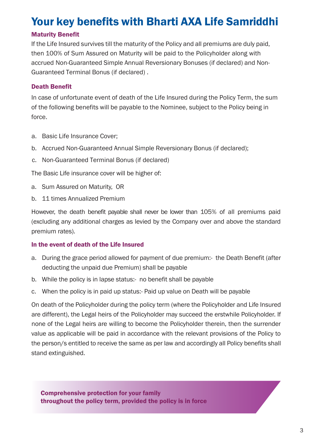### Your key benefits with Bharti AXA Life Samriddhi

#### Maturity Benefit

If the Life Insured survives till the maturity of the Policy and all premiums are duly paid. then 100% of Sum Assured on Maturity will be paid to the Policyholder along with accrued Non-Guaranteed Simple Annual Reversionary Bonuses (if declared) and Non-Guaranteed Terminal Bonus (if declared).

#### Death Benefit

In case of unfortunate event of death of the Life Insured during the Policy Term, the sum of the following benefits will be payable to the Nominee, subject to the Policy being in force

- a. Basic Life Insurance Cover:
- b. Accrued Non-Guaranteed Annual Simple Reversionary Bonus (if declared);
- c. Non-Guaranteed Terminal Bonus (if declared)

The Basic Life insurance cover will be higher of:

- a. Sum Assured on Maturity, OR
- b. 11 times Annualized Premium

However, the death benefit payable shall never be lower than 105% of all premiums paid (excluding any additional charges as levied by the Company over and above the standard premium rates).

#### In the event of death of the Life Insured

- a. During the grace period allowed for payment of due premium:- the Death Benefit (after deducting the unpaid due Premium) shall be payable
- b. While the policy is in lapse status:- no benefit shall be payable
- c. When the policy is in paid up status:- Paid up value on Death will be payable

On death of the Policyholder during the policy term (where the Policyholder and Life Insured are different), the Legal heirs of the Policyholder may succeed the erstwhile Policyholder. If none of the Legal heirs are willing to become the Policyholder therein, then the surrender value as applicable will be paid in accordance with the relevant provisions of the Policy to the person/s entitled to receive the same as per law and accordingly all Policy benefits shall stand extinguished.

Comprehensive protection for your family throughout the policy term, provided the policy is in force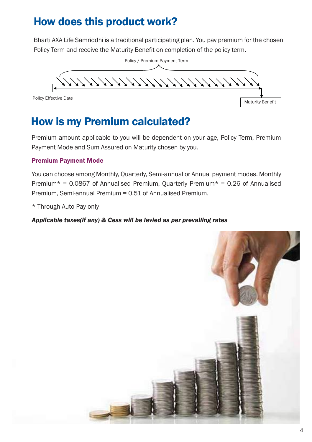### How does this product work?

Bharti AXA Life Samriddhi is a traditional participating plan. You pay premium for the chosen Policy Term and receive the Maturity Benefit on completion of the policy term.



### How is my Premium calculated?

Premium amount applicable to you will be dependent on your age, Policy Term, Premium Payment Mode and Sum Assured on Maturity chosen by you.

#### Premium Payment Mode

You can choose among Monthly, Quarterly, Semi-annual or Annual payment modes. Monthly Premium\* =  $0.0867$  of Annualised Premium, Quarterly Premium\* =  $0.26$  of Annualised Premium, Semi-annual Premium = 0.51 of Annualised Premium.

\* Through Auto Pay only

*Applicable taxes(if any) & Cess will be levied as per prevailing rates*

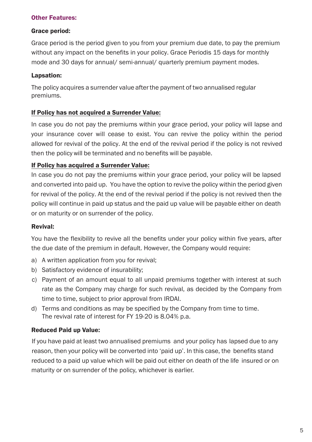#### Other Features:

#### Grace period:

Grace period is the period given to you from your premium due date, to pay the premium without any impact on the benefits in your policy. Grace Periodis 15 days for monthly mode and 30 days for annual/ semi-annual/ quarterly premium payment modes.

#### Lapsation:

The policy acquires a surrender value after the payment of two annualised regular premiums.

#### If Policy has not acquired a Surrender Value:

In case you do not pay the premiums within your grace period, your policy will lapse and your insurance cover will cease to exist. You can revive the policy within the period allowed for revival of the policy. At the end of the revival period if the policy is not revived then the policy will be terminated and no benefits will be payable.

#### If Policy has acquired a Surrender Value:

In case you do not pay the premiums within your grace period, your policy will be lapsed and converted into paid up. You have the option to revive the policy within the period given for revival of the policy. At the end of the revival period if the policy is not revived then the policy will continue in paid up status and the paid up value will be payable either on death or on maturity or on surrender of the policy.

#### Revival:

You have the flexibility to revive all the benefits under your policy within five years, after the due date of the premium in default. However, the Company would require:

- a) A written application from you for revival;
- b) Satisfactory evidence of insurability;
- c) Payment of an amount equal to all unpaid premiums together with interest at such rate as the Company may charge for such revival, as decided by the Company from time to time, subject to prior approval from IRDAI.
- d) Terms and conditions as may be specified by the Company from time to time. The revival rate of interest for FY 19-20 is 8.04% p.a.

#### Reduced Paid up Value:

If you have paid at least two annualised premiums and your policy has lapsed due to any reason, then your policy will be converted into 'paid up'. In this case, the benefits stand reduced to a paid up value which will be paid out either on death of the life insured or on maturity or on surrender of the policy, whichever is earlier.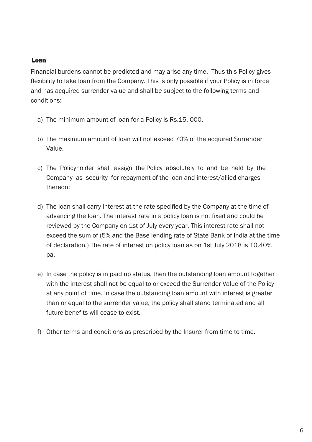#### Loan

Financial burdens cannot be predicted and may arise any time. Thus this Policy gives flexibility to take loan from the Company. This is only possible if your Policy is in force and has acquired surrender value and shall be subject to the following terms and conditions:

- a) The minimum amount of loan for a Policy is Rs.15, 000.
- b) The maximum amount of loan will not exceed 70% of the acquired Surrender Value
- c) The Policyholder shall assign the Policy absolutely to and be held by the Company as security for repayment of the loan and interest/allied charges thereon:
- d) The loan shall carry interest at the rate specified by the Company at the time of advancing the loan. The interest rate in a policy loan is not fixed and could be reviewed by the Company on 1st of July every year. This interest rate shall not exceed the sum of (5% and the Base lending rate of State Bank of India at the time of declaration.) The rate of interest on policy loan as on 1st July 2018 is 10.40% pa.
- e) In case the policy is in paid up status, then the outstanding loan amount together with the interest shall not be equal to or exceed the Surrender Value of the Policy at any point of time. In case the outstanding loan amount with interest is greater than or equal to the surrender value, the policy shall stand terminated and all future benefits will cease to exist
- f) Other terms and conditions as prescribed by the Insurer from time to time.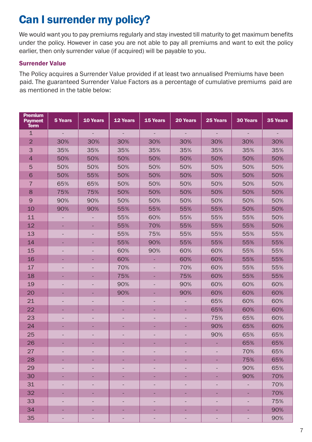### Can I surrender my policy?

We would want you to pay premiums regularly and stay invested till maturity to get maximum benefits under the policy. However in case you are not able to pay all premiums and want to exit the policy earlier, then only surrender value (if acquired) will be payable to you.

#### Surrender Value

The Policy acquires a Surrender Value provided if at least two annualised Premiums have been paid. The guaranteed Surrender Value Factors as a percentage of cumulative premiums paid are as mentioned in the table below:

| <b>Premium</b><br><b>Payment</b><br><b>Term</b> | 5 Years | 10 Years                 | <b>12 Years</b>          | 15 Years       | 20 Years       | 25 Years | <b>30 Years</b>          | 35 Years |
|-------------------------------------------------|---------|--------------------------|--------------------------|----------------|----------------|----------|--------------------------|----------|
| $\mathbf{1}$                                    |         |                          |                          |                |                |          |                          |          |
| $\overline{2}$                                  | 30%     | 30%                      | 30%                      | 30%            | 30%            | 30%      | 30%                      | 30%      |
| 3                                               | 35%     | 35%                      | 35%                      | 35%            | 35%            | 35%      | 35%                      | 35%      |
| $\overline{4}$                                  | 50%     | 50%                      | 50%                      | 50%            | 50%            | 50%      | 50%                      | 50%      |
| 5                                               | 50%     | 50%                      | 50%                      | 50%            | 50%            | 50%      | 50%                      | 50%      |
| 6                                               | 50%     | 55%                      | 50%                      | 50%            | 50%            | 50%      | 50%                      | 50%      |
| $\overline{7}$                                  | 65%     | 65%                      | 50%                      | 50%            | 50%            | 50%      | 50%                      | 50%      |
| 8                                               | 75%     | 75%                      | 50%                      | 50%            | 50%            | 50%      | 50%                      | 50%      |
| $\overline{9}$                                  | 90%     | 90%                      | 50%                      | 50%            | 50%            | 50%      | 50%                      | 50%      |
| 10                                              | 90%     | 90%                      | 55%                      | 55%            | 55%            | 55%      | 50%                      | 50%      |
| 11                                              |         |                          | 55%                      | 60%            | 55%            | 55%      | 55%                      | 50%      |
| 12                                              |         |                          | 55%                      | 70%            | 55%            | 55%      | 55%                      | 50%      |
| 13                                              |         |                          | 55%                      | 75%            | 55%            | 55%      | 55%                      | 55%      |
| 14                                              |         |                          | 55%                      | 90%            | 55%            | 55%      | 55%                      | 55%      |
| 15                                              |         | $\overline{\phantom{a}}$ | 60%                      | 90%            | 60%            | 60%      | 55%                      | 55%      |
| 16                                              |         |                          | 60%                      | ٠              | 60%            | 60%      | 55%                      | 55%      |
| 17                                              |         |                          | 70%                      |                | 70%            | 60%      | 55%                      | 55%      |
| 18                                              |         |                          | 75%                      |                | 75%            | 60%      | 55%                      | 55%      |
| 19                                              |         |                          | 90%                      |                | 90%            | 60%      | 60%                      | 60%      |
| 20                                              |         |                          | 90%                      | ۰              | 90%            | 60%      | 60%                      | 60%      |
| 21                                              |         |                          | $\overline{a}$           |                | ÷              | 65%      | 60%                      | 60%      |
| 22                                              |         |                          |                          | ٠              |                | 65%      | 60%                      | 60%      |
| 23                                              |         |                          | ÷,                       |                | $\overline{a}$ | 75%      | 65%                      | 60%      |
| 24                                              |         |                          |                          | ۰              | ٠              | 90%      | 65%                      | 60%      |
| 25                                              |         |                          |                          |                |                | 90%      | 65%                      | 65%      |
| 26                                              |         |                          |                          |                | ۳              |          | 65%                      | 65%      |
| 27                                              |         |                          |                          |                |                |          | 70%                      | 65%      |
| 28                                              |         |                          |                          |                | ٠              |          | 75%                      | 65%      |
| 29                                              |         |                          |                          |                |                |          | 90%                      | 65%      |
| 30                                              |         | ۰                        | ٠                        | ٠              | ٠              |          | 90%                      | 70%      |
| 31                                              |         |                          | ÷,                       |                | $\overline{a}$ |          | $\overline{\phantom{a}}$ | 70%      |
| 32                                              |         |                          |                          | ÷.             | ۳              |          |                          | 70%      |
| 33                                              |         |                          | $\overline{\phantom{a}}$ | $\overline{a}$ | $\equiv$       |          | ÷,                       | 75%      |
| 34                                              |         |                          |                          |                | ۳              |          |                          | 90%      |
| 35                                              |         |                          |                          |                |                |          |                          | 90%      |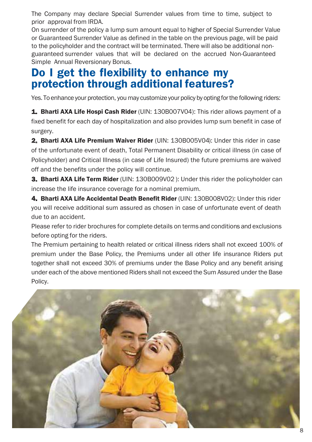The Company may declare Special Surrender values from time to time, subject to prior approval from IRDA.

On surrender of the policy a lump sum amount equal to higher of Special Surrender Value or Guaranteed Surrender Value as defined in the table on the previous page, will be paid to the policyholder and the contract will be terminated. There will also be additional nonguaranteed surrender values that will be declared on the accrued Non-Guaranteed Simple Annual Reversionary Bonus.

### Do I get the flexibility to enhance my protection through additional features?

Yes. To enhance your protection, you may customize your policy by opting for the following riders:

**1. Bharti AXA Life Hospi Cash Rider** (UIN: 130B007V04): This rider allows payment of a fixed benefit for each day of hospitalization and also provides lump sum benefit in case of surgery.

2. Bharti AXA Life Premium Waiver Rider (UIN: 130B005V04): Under this rider in case of the unfortunate event of death. Total Permanent Disability or critical illness (in case of Policyholder) and Critical Illness (in case of Life Insured) the future premiums are waived off and the benefits under the policy will continue.

3. Bharti AXA Life Term Rider (UIN: 130B009V02): Under this rider the policyholder can increase the life insurance coverage for a nominal premium.

4. Bharti AXA Life Accidental Death Benefit Rider (UIN: 130B008V02): Under this rider you will receive additional sum assured as chosen in case of unfortunate event of death due to an accident.

Please refer to rider brochures for complete details on terms and conditions and exclusions before opting for the riders.

The Premium pertaining to health related or critical illness riders shall not exceed 100% of premium under the Base Policy, the Premiums under all other life insurance Riders put together shall not exceed 30% of premiums under the Base Policy and any benefit arising under each of the above mentioned Riders shall not exceed the Sum Assured under the Base Policy.

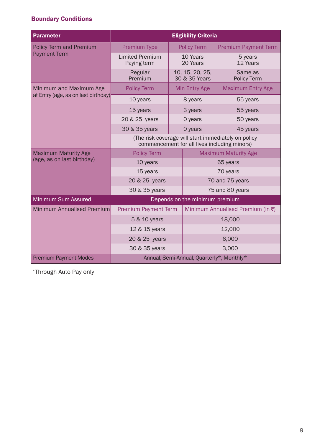#### Boundary Conditions

| <b>Parameter</b>                    | <b>Eligibility Criteria</b>                                                                         |                                  |                                   |  |  |  |
|-------------------------------------|-----------------------------------------------------------------------------------------------------|----------------------------------|-----------------------------------|--|--|--|
| <b>Policy Term and Premium</b>      | <b>Premium Type</b>                                                                                 | <b>Policy Term</b>               | <b>Premium Payment Term</b>       |  |  |  |
| <b>Payment Term</b>                 | <b>Limited Premium</b><br>Paying term                                                               | 10 Years<br>20 Years             | 5 years<br>12 Years               |  |  |  |
|                                     | Regular<br>Premium                                                                                  | 10, 15, 20, 25,<br>30 & 35 Years | Same as<br>Policy Term            |  |  |  |
| Minimum and Maximum Age             | <b>Policy Term</b>                                                                                  | Min Entry Age                    | <b>Maximum Entry Age</b>          |  |  |  |
| at Entry (age, as on last birthday) | 10 years                                                                                            | 8 years                          | 55 years                          |  |  |  |
|                                     | 15 years                                                                                            | 3 years                          | 55 years                          |  |  |  |
|                                     | 20 & 25 years                                                                                       | 0 years                          | 50 years                          |  |  |  |
|                                     | 30 & 35 years<br>0 years                                                                            |                                  | 45 years                          |  |  |  |
|                                     | (The risk coverage will start immediately on policy<br>commencement for all lives including minors) |                                  |                                   |  |  |  |
| <b>Maximum Maturity Age</b>         | <b>Policy Term</b>                                                                                  |                                  | <b>Maximum Maturity Age</b>       |  |  |  |
| (age, as on last birthday)          | 10 years                                                                                            |                                  | 65 years                          |  |  |  |
|                                     | 15 years                                                                                            |                                  | 70 years                          |  |  |  |
|                                     | 20 & 25 years                                                                                       |                                  | 70 and 75 years                   |  |  |  |
|                                     | 30 & 35 years                                                                                       |                                  | 75 and 80 years                   |  |  |  |
| Minimum Sum Assured                 | Depends on the minimum premium                                                                      |                                  |                                   |  |  |  |
| Minimum Annualised Premium          | <b>Premium Payment Term</b>                                                                         |                                  | Minimum Annualised Premium (in ₹) |  |  |  |
|                                     | 5 & 10 years                                                                                        |                                  | 18,000                            |  |  |  |
|                                     | 12 & 15 years                                                                                       |                                  | 12,000                            |  |  |  |
|                                     | 20 & 25 years                                                                                       |                                  | 6,000                             |  |  |  |
|                                     | 30 & 35 years                                                                                       |                                  | 3,000                             |  |  |  |
| <b>Premium Payment Modes</b>        | Annual, Semi-Annual, Quarterly*, Monthly*                                                           |                                  |                                   |  |  |  |

\*Through Auto Pay only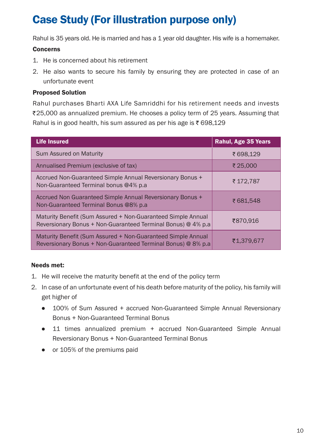### Case Study (For illustration purpose only)

Rahul is 35 years old. He is married and has a  $1$  year old daughter. His wife is a homemaker.

#### Concerns

- 1. He is concerned about his retirement
- 2. He also wants to secure his family by ensuring they are protected in case of an unfortunate event

#### Proposed Solution

Rahul purchases Bharti AXA Life Samriddhi for his retirement needs and invests ₹25,000 as annualized premium. He chooses a policy term of 25 years. Assuming that Rahul is in good health, his sum assured as per his age is  $\overline{\epsilon}$  698,129

| <b>Life Insured</b>                                                                                                          | <b>Rahul, Age 35 Years</b> |
|------------------------------------------------------------------------------------------------------------------------------|----------------------------|
| Sum Assured on Maturity                                                                                                      | ₹ 698,129                  |
| Annualised Premium (exclusive of tax)                                                                                        | ₹ 25,000                   |
| Accrued Non-Guaranteed Simple Annual Reversionary Bonus +<br>Non-Guaranteed Terminal bonus @4% p.a.                          | ₹ 172.787                  |
| Accrued Non Guaranteed Simple Annual Reversionary Bonus +<br>Non-Guaranteed Terminal Bonus @8% p.a.                          | ₹681.548                   |
| Maturity Benefit (Sum Assured + Non-Guaranteed Simple Annual<br>Reversionary Bonus + Non-Guaranteed Terminal Bonus) @ 4% p.a | ₹870,916                   |
| Maturity Benefit (Sum Assured + Non-Guaranteed Simple Annual<br>Reversionary Bonus + Non-Guaranteed Terminal Bonus) @ 8% p.a | ₹1,379,677                 |

#### Needs met:

- 1. He will receive the maturity benefit at the end of the policy term
- 2. In case of an unfortunate event of his death before maturity of the policy, his family will get higher of
	- 100% of Sum Assured + accrued Non-Guaranteed Simple Annual Reversionary Bonus + Non-Guaranteed Terminal Bonus
	- 11 times annualized premium + accrued Non-Guaranteed Simple Annual Reversionary Bonus + Non-Guaranteed Terminal Bonus
	- or 105% of the premiums paid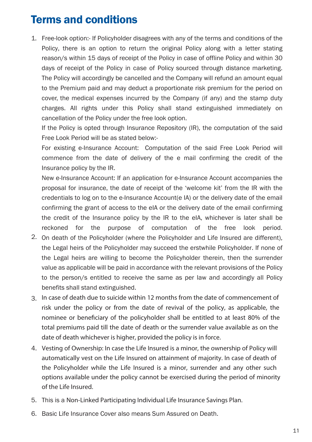### Terms and conditions

1. Free-look option:- If Policyholder disagrees with any of the terms and conditions of the Policy, there is an option to return the original Policy along with a letter stating reason/s within 15 days of receipt of the Policy in case of offline Policy and within 30 days of receipt of the Policy in case of Policy sourced through distance marketing. The Policy will accordingly be cancelled and the Company will refund an amount equal to the Premium paid and may deduct a proportionate risk premium for the period on cover, the medical expenses incurred by the Company (if any) and the stamp duty charges. All rights under this Policy shall stand extinguished immediately on cancellation of the Policy under the free look option.

If the Policy is opted through Insurance Repository (IR), the computation of the said Free Look Period will be as stated below:-

For existing e-Insurance Account: Computation of the said Free Look Period will commence from the date of delivery of the e mail confirming the credit of the Insurance policy by the IR.

New e-Insurance Account: If an application for e-Insurance Account accompanies the proposal for insurance, the date of receipt of the 'welcome kit' from the IR with the credentials to log on to the e-Insurance Account(e IA) or the delivery date of the email confirming the grant of access to the eIA or the delivery date of the email confirming the credit of the Insurance policy by the IR to the eIA, whichever is later shall be reckoned for the purpose of computation of the free look period.

- 2. On death of the Policyholder (where the Policyholder and Life Insured are different), the Legal heirs of the Policyholder may succeed the erstwhile Policyholder. If none of the Legal heirs are willing to become the Policyholder therein, then the surrender value as applicable will be paid in accordance with the relevant provisions of the Policy to the person/s entitled to receive the same as per law and accordingly all Policy benefits shall stand extinguished.
- In case of death due to suicide within 12 months from the date of commencement of risk under the policy or from the date of revival of the policy, as applicable, the nominee or beneficiary of the policyholder shall be entitled to at least 80% of the total premiums paid till the date of death or the surrender value available as on the date of death whichever is higher, provided the policy is in force.
- Vesting of Ownership: In case the Life Insured is a minor, the ownership of Policy will automatically vest on the Life Insured on attainment of majority. In case of death of the Policyholder while the Life Insured is a minor, surrender and any other such options available under the policy cannot be exercised during the period of minority of the Life Insured.
- 5. This is a Non-Linked Participating Individual Life Insurance Savings Plan.
- 6. Basic Life Insurance Cover also means Sum Assured on Death.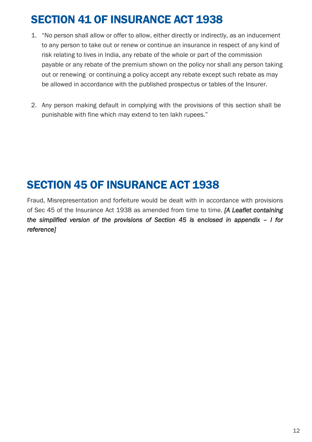### SECTION 41 OF INSURANCE ACT 1938

- 1. "No person shall allow or offer to allow, either directly or indirectly, as an inducement to any person to take out or renew or continue an insurance in respect of any kind of risk relating to lives in India, any rebate of the whole or part of the commission payable or any rebate of the premium shown on the policy nor shall any person taking out or renewing or continuing a policy accept any rebate except such rebate as may be allowed in accordance with the published prospectus or tables of the Insurer.
- 2. Any person making default in complying with the provisions of this section shall be punishable with fine which may extend to ten lakh rupees."

### SECTION 45 OF INSURANCE ACT 1938

Fraud, Misrepresentation and forfeiture would be dealt with in accordance with provisions of Sec 45 of the Insurance Act 1938 as amended from time to time. [A Leaflet containing *the simplified version of the provisions of Section 45 is enclosed in appendix – I for reference]*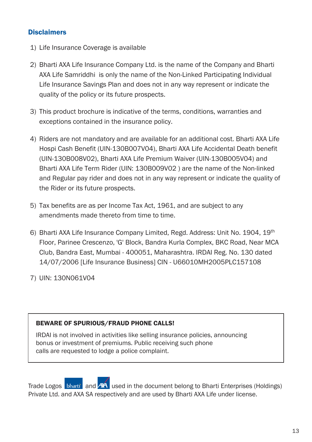#### **Disclaimers**

- 1) Life Insurance Coverage is available
- 2) Bharti AXA Life Insurance Company Ltd. is the name of the Company and Bharti AXA Life Samriddhi is only the name of the Non-Linked Participating Individual Life Insurance Savings Plan and does not in any way represent or indicate the quality of the policy or its future prospects.
- 3) This product brochure is indicative of the terms, conditions, warranties and exceptions contained in the insurance policy.
- 4) Riders are not mandatory and are available for an additional cost. Bharti AXA Life Hospi Cash Benefit (UIN-130B007V04). Bharti AXA Life Accidental Death benefit (UIN-130B008V02), Bharti AXA Life Premium Waiver (UIN-130B005V04) and Bharti AXA Life Term Rider (UIN: 130B009V02) are the name of the Non-linked and Regular pay rider and does not in any way represent or indicate the quality of the Rider or its future prospects.
- 5) Tax benefits are as per Income Tax Act, 1961, and are subject to any amendments made thereto from time to time
- 6) Bharti AXA Life Insurance Company Limited, Regd. Address: Unit No. 1904, 19<sup>th</sup> Floor, Parinee Crescenzo, 'G' Block, Bandra Kurla Complex, BKC Road, Near MCA Club, Bandra East, Mumbai - 400051, Maharashtra. IRDAI Reg. No. 130 dated 14/07/2006 [Life Insurance Business] CIN - U66010MH2005PLC157108
- 7) UIN: 130N061V04

#### **BEWARE OF SPURIOUS/FRAUD PHONE CALLS!**

IRDAI is not involved in activities like selling insurance policies, announcing bonus or investment of premiums. Public receiving such phone calls are requested to lodge a police complaint.

Trade Logos bharti and AX used in the document belong to Bharti Enterprises (Holdings) Private Ltd. and AXA SA respectively and are used by Bharti AXA Life under license.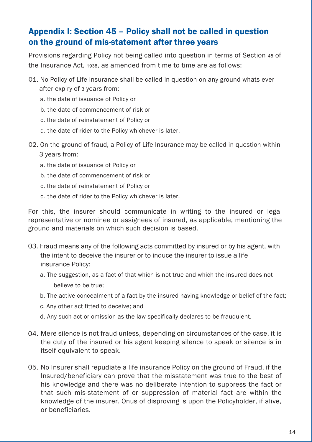### Appendix I: Section 45 – Policy shall not be called in question on the ground of mis-statement after three years

Provisions regarding Policy not being called into question in terms of Section 45 of the Insurance Act. 1938, as amended from time to time are as follows:

- 01. No Policy of Life Insurance shall be called in question on any ground whats ever after expiry of 3 years from:
	- a, the date of issuance of Policy or
	- b, the date of commencement of risk or
	- c. the date of reinstatement of Policy or
	- d, the date of rider to the Policy whichever is later.
- 02. On the ground of fraud, a Policy of Life Insurance may be called in question within
	- 3 vears from:
	- a. the date of issuance of Policy or
	- b, the date of commencement of risk or
	- c, the date of reinstatement of Policy or
	- d. the date of rider to the Policy whichever is later.

For this, the insurer should communicate in writing to the insured or legal representative or nominee or assignees of insured, as applicable, mentioning the ground and materials on which such decision is based.

- 03. Fraud means any of the following acts committed by insured or by his agent, with the intent to deceive the insurer or to induce the insurer to issue a life insurance Policy:
	- a. The suggestion, as a fact of that which is not true and which the insured does not believe to be true:
	- b. The active concealment of a fact by the insured having knowledge or belief of the fact;
	- c. Any other act fitted to deceive; and
	- d. Any such act or omission as the law specifically declares to be fraudulent.
- 04. Mere silence is not fraud unless, depending on circumstances of the case, it is the duty of the insured or his agent keeping silence to speak or silence is in itself equivalent to speak.
- 05. No Insurer shall repudiate a life insurance Policy on the ground of Fraud, if the Insured/beneficiary can prove that the misstatement was true to the best of his knowledge and there was no deliberate intention to suppress the fact or that such mis-statement of or suppression of material fact are within the knowledge of the insurer. Onus of disproving is upon the Policyholder, if alive, or beneficiaries.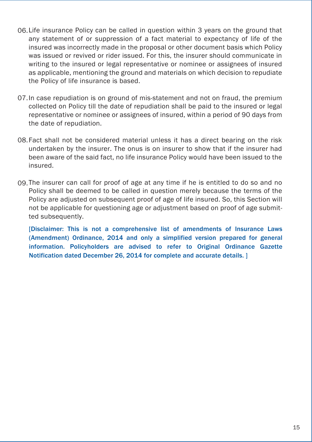- 06. Life insurance Policy can be called in question within 3 years on the ground that any statement of or suppression of a fact material to expectancy of life of the insured was incorrectly made in the proposal or other document basis which Policy was issued or revived or rider issued. For this, the insurer should communicate in writing to the insured or legal representative or nominee or assignees of insured as applicable, mentioning the ground and materials on which decision to repudiate the Policy of life insurance is based.
- 07. In case repudiation is on ground of mis-statement and not on fraud, the premium collected on Policy till the date of repudiation shall be paid to the insured or legal representative or nominee or assignees of insured, within a period of 90 days from the date of repudiation.
- 08.Fact shall not be considered material unless it has a direct bearing on the risk undertaken by the insurer. The onus is on insurer to show that if the insurer had been aware of the said fact, no life insurance Policy would have been issued to the insured
- 09.The insurer can call for proof of age at any time if he is entitled to do so and no Policy shall be deemed to be called in question merely because the terms of the Policy are adjusted on subsequent proof of age of life insured. So, this Section will not be applicable for questioning age or adjustment based on proof of age submitted subsequently.

[Disclaimer: This is not a comprehensive list of amendments of Insurance Laws (Amendment) Ordinance, 2014 and only a simplified version prepared for general information. Policyholders are advised to refer to Original Ordinance Gazette Notification dated December 26, 2014 for complete and accurate details. ]